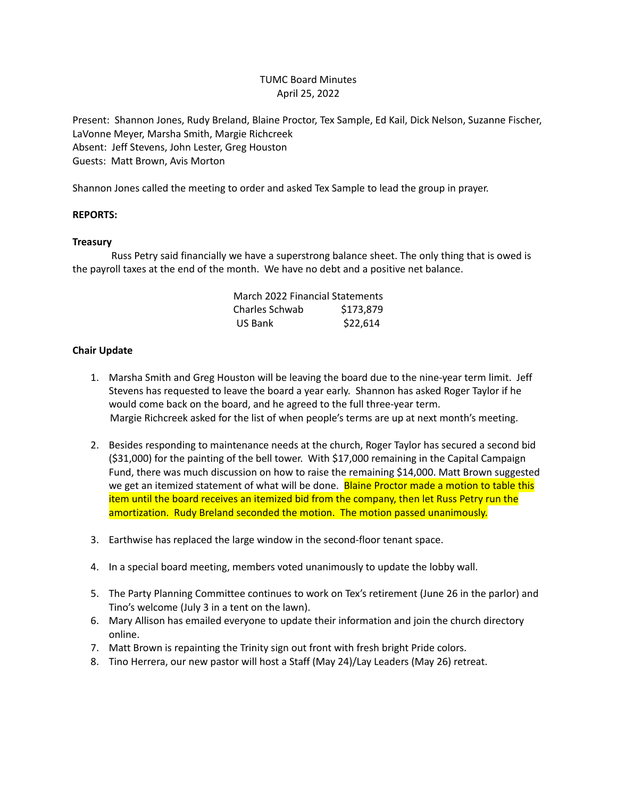# TUMC Board Minutes April 25, 2022

Present: Shannon Jones, Rudy Breland, Blaine Proctor, Tex Sample, Ed Kail, Dick Nelson, Suzanne Fischer, LaVonne Meyer, Marsha Smith, Margie Richcreek Absent: Jeff Stevens, John Lester, Greg Houston Guests: Matt Brown, Avis Morton

Shannon Jones called the meeting to order and asked Tex Sample to lead the group in prayer.

## **REPORTS:**

## **Treasury**

Russ Petry said financially we have a superstrong balance sheet. The only thing that is owed is the payroll taxes at the end of the month. We have no debt and a positive net balance.

| March 2022 Financial Statements |           |
|---------------------------------|-----------|
| Charles Schwab                  | \$173,879 |
| US Bank                         | \$22,614  |

# **Chair Update**

- 1. Marsha Smith and Greg Houston will be leaving the board due to the nine-year term limit. Jeff Stevens has requested to leave the board a year early. Shannon has asked Roger Taylor if he would come back on the board, and he agreed to the full three-year term. Margie Richcreek asked for the list of when people's terms are up at next month's meeting.
- 2. Besides responding to maintenance needs at the church, Roger Taylor has secured a second bid (\$31,000) for the painting of the bell tower. With \$17,000 remaining in the Capital Campaign Fund, there was much discussion on how to raise the remaining \$14,000. Matt Brown suggested we get an itemized statement of what will be done. Blaine Proctor made a motion to table this item until the board receives an itemized bid from the company, then let Russ Petry run the amortization. Rudy Breland seconded the motion. The motion passed unanimously.
- 3. Earthwise has replaced the large window in the second-floor tenant space.
- 4. In a special board meeting, members voted unanimously to update the lobby wall.
- 5. The Party Planning Committee continues to work on Tex's retirement (June 26 in the parlor) and Tino's welcome (July 3 in a tent on the lawn).
- 6. Mary Allison has emailed everyone to update their information and join the church directory online.
- 7. Matt Brown is repainting the Trinity sign out front with fresh bright Pride colors.
- 8. Tino Herrera, our new pastor will host a Staff (May 24)/Lay Leaders (May 26) retreat.